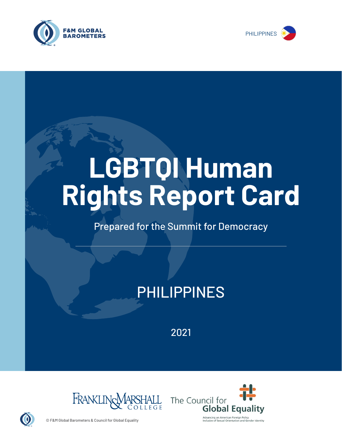



# **LGBTQI Human Rights Report Card**

## Prepared for the Summit for Democracy

# PHILIPPINES

2021





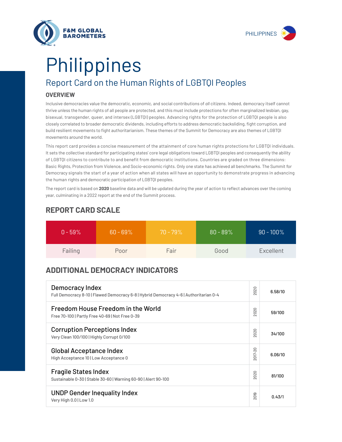



# Report Card on the Human Rights of LGBTQI Peoples Philippines

#### **OVERVIEW**

Inclusive democracies value the democratic, economic, and social contributions of *all* citizens. Indeed, democracy itself cannot thrive unless the human rights of all people are protected, and this must include protections for often marginalized lesbian, gay, bisexual, transgender, queer, and intersex (LGBTQI) peoples. Advancing rights for the protection of LGBTQI people is also closely correlated to broader democratic dividends, including efforts to address democratic backsliding, fight corruption, and build resilient movements to fight authoritarianism. These themes of the Summit for Democracy are also themes of LGBTQI movements around the world.

This report card provides a concise measurement of the attainment of core human rights protections for LGBTQI individuals. It sets the collective standard for participating states' core legal obligations toward LGBTQI peoples and consequently the ability of LGBTQI citizens to contribute to and benefit from democratic institutions. Countries are graded on three dimensions: Basic Rights, Protection from Violence, and Socio-economic rights. Only one state has achieved all benchmarks. The Summit for Democracy signals the start of a year of action when all states will have an opportunity to demonstrate progress in advancing the human rights and democratic participation of LGBTQI peoples.

The report card is based on **2020** baseline data and will be updated during the year of action to reflect advances over the coming year, culminating in a 2022 report at the end of the Summit process.

| $0 - 59\%$ | $60 - 69\%$ | $70 - 79\%$ | $80 - 89\%$ | $90 - 100\%$ |
|------------|-------------|-------------|-------------|--------------|
| Failing    | Poor        | Fair        | Good        | Excellent    |

### **REPORT CARD SCALE**

## **ADDITIONAL DEMOCRACY INDICATORS**

| Democracy Index<br>Full Democracy 8-10   Flawed Democracy 6-8   Hybrid Democracy 4-6   Authoritarian 0-4 |                     | 6.58/10 |
|----------------------------------------------------------------------------------------------------------|---------------------|---------|
| Freedom House Freedom in the World<br>Free 70-100   Partly Free 40-69   Not Free 0-39                    | 2020                | 59/100  |
| <b>Corruption Perceptions Index</b><br>Very Clean 100/100   Highly Corrupt 0/100                         | 020<br>$\sim$       | 34/100  |
| <b>Global Acceptance Index</b><br>High Acceptance 10   Low Acceptance 0                                  | 2017-20             | 6.06/10 |
| <b>Fragile States Index</b><br>Sustainable 0-30   Stable 30-60   Warning 60-90   Alert 90-100            | 2020                | 81/100  |
| <b>UNDP Gender Inequality Index</b><br>Very High 0.0   Low 1.0                                           | တ<br>$\overline{5}$ | 0.43/1  |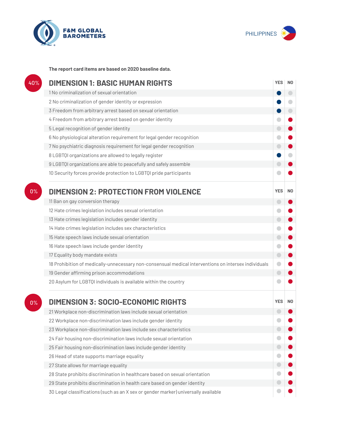



**The report card items are based on 2020 baseline data.**

| 40% | <b>DIMENSION 1: BASIC HUMAN RIGHTS</b>                                                               |                          |                |
|-----|------------------------------------------------------------------------------------------------------|--------------------------|----------------|
|     | 1 No criminalization of sexual orientation                                                           |                          | $\Box$         |
|     | 2 No criminalization of gender identity or expression                                                |                          | ۰              |
|     | 3 Freedom from arbitrary arrest based on sexual orientation                                          |                          | $\Box$         |
|     | 4 Freedom from arbitrary arrest based on gender identity                                             | $\bullet$                |                |
|     | 5 Legal recognition of gender identity                                                               | $\bigcirc$               |                |
|     | 6 No physiological alteration requirement for legal gender recognition                               | $\blacksquare$           |                |
|     | 7 No psychiatric diagnosis requirement for legal gender recognition                                  | $\bigcirc$               |                |
|     | 8 LGBTQI organizations are allowed to legally register                                               |                          |                |
|     | 9 LGBTQI organizations are able to peacefully and safely assemble                                    | $\Box$                   |                |
|     | 10 Security forces provide protection to LGBTQI pride participants                                   |                          |                |
| 0%  | <b>DIMENSION 2: PROTECTION FROM VIOLENCE</b>                                                         | <b>YES</b>               | N <sub>0</sub> |
|     | 11 Ban on gay conversion therapy                                                                     | $\overline{\phantom{0}}$ |                |
|     | 12 Hate crimes legislation includes sexual orientation                                               | O                        |                |
|     | 13 Hate crimes legislation includes gender identity                                                  | $\bigcirc$               |                |
|     | 14 Hate crimes legislation includes sex characteristics                                              | O                        |                |
|     | 15 Hate speech laws include sexual orientation                                                       | $\bigcirc$               |                |
|     | 16 Hate speech laws include gender identity                                                          | $\bullet$                |                |
|     | 17 Equality body mandate exists                                                                      | $\bigcirc$               |                |
|     | 18 Prohibition of medically-unnecessary non-consensual medical interventions on intersex individuals | $\bullet$                |                |
|     | 19 Gender affirming prison accommodations                                                            | $\bigcirc$               |                |
|     | 20 Asylum for LGBTQI individuals is available within the country                                     |                          |                |
| 0%  | <b>DIMENSION 3: SOCIO-ECONOMIC RIGHTS</b>                                                            | <b>YES</b>               | N <sub>0</sub> |
|     | 21 Workplace non-discrimination laws include sexual orientation                                      |                          |                |
|     | 22 Workplace non-discrimination laws include gender identity                                         |                          |                |
|     | 23 Workplace non-discrimination laws include sex characteristics                                     |                          |                |
|     | 24 Fair housing non-discrimination laws include sexual orientation                                   |                          |                |
|     | 25 Fair housing non-discrimination laws include gender identity                                      | $\bigcirc$               |                |
|     | 26 Head of state supports marriage equality                                                          |                          |                |
|     | 27 State allows for marriage equality                                                                | $\bigcirc$               |                |
|     | 28 State prohibits discrimination in healthcare based on sexual orientation                          | $\bullet$                |                |
|     | 29 State prohibits discrimination in health care based on gender identity                            |                          |                |
|     | 30 Legal classifications (such as an X sex or gender marker) universally available                   |                          |                |